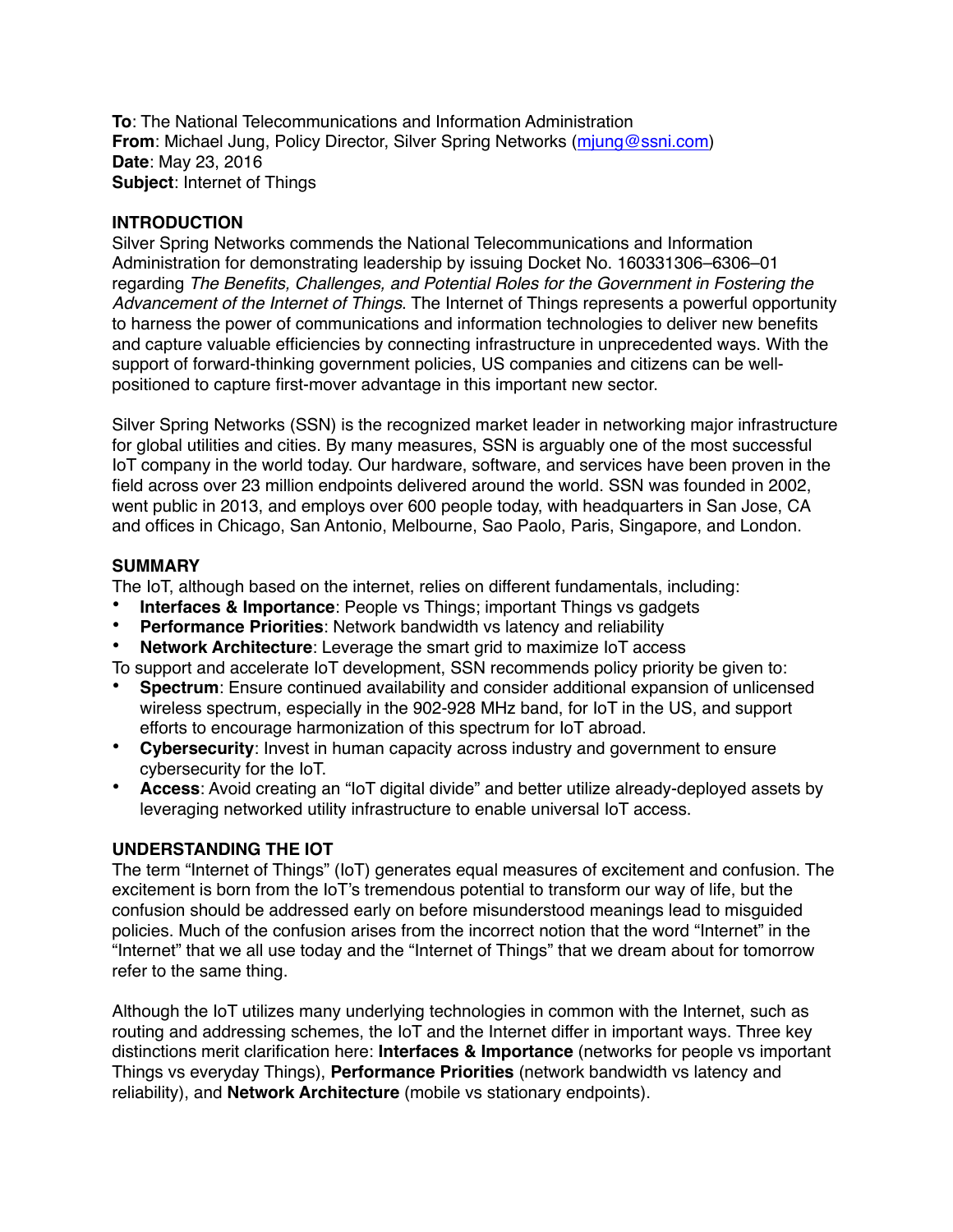**To**: The National Telecommunications and Information Administration **From**: Michael Jung, Policy Director, Silver Spring Networks ([mjung@ssni.com](mailto:mjung@ssni.com)) **Date**: May 23, 2016 **Subject**: Internet of Things

# **INTRODUCTION**

Silver Spring Networks commends the National Telecommunications and Information Administration for demonstrating leadership by issuing Docket No. 160331306–6306–01 regarding *The Benefits, Challenges, and Potential Roles for the Government in Fostering the Advancement of the Internet of Things*. The Internet of Things represents a powerful opportunity to harness the power of communications and information technologies to deliver new benefits and capture valuable efficiencies by connecting infrastructure in unprecedented ways. With the support of forward-thinking government policies, US companies and citizens can be wellpositioned to capture first-mover advantage in this important new sector.

Silver Spring Networks (SSN) is the recognized market leader in networking major infrastructure for global utilities and cities. By many measures, SSN is arguably one of the most successful IoT company in the world today. Our hardware, software, and services have been proven in the field across over 23 million endpoints delivered around the world. SSN was founded in 2002, went public in 2013, and employs over 600 people today, with headquarters in San Jose, CA and offices in Chicago, San Antonio, Melbourne, Sao Paolo, Paris, Singapore, and London.

# **SUMMARY**

The IoT, although based on the internet, relies on different fundamentals, including:

- **Interfaces & Importance:** People vs Things; important Things vs gadgets
- **Performance Priorities**: Network bandwidth vs latency and reliability
- **Network Architecture**: Leverage the smart grid to maximize IoT access

To support and accelerate IoT development, SSN recommends policy priority be given to:

- **Spectrum**: Ensure continued availability and consider additional expansion of unlicensed wireless spectrum, especially in the 902-928 MHz band, for IoT in the US, and support efforts to encourage harmonization of this spectrum for IoT abroad.
- **Cybersecurity**: Invest in human capacity across industry and government to ensure cybersecurity for the IoT.
- **Access**: Avoid creating an "IoT digital divide" and better utilize already-deployed assets by leveraging networked utility infrastructure to enable universal IoT access.

# **UNDERSTANDING THE IOT**

The term "Internet of Things" (IoT) generates equal measures of excitement and confusion. The excitement is born from the IoT's tremendous potential to transform our way of life, but the confusion should be addressed early on before misunderstood meanings lead to misguided policies. Much of the confusion arises from the incorrect notion that the word "Internet" in the "Internet" that we all use today and the "Internet of Things" that we dream about for tomorrow refer to the same thing.

Although the IoT utilizes many underlying technologies in common with the Internet, such as routing and addressing schemes, the IoT and the Internet differ in important ways. Three key distinctions merit clarification here: **Interfaces & Importance** (networks for people vs important Things vs everyday Things), **Performance Priorities** (network bandwidth vs latency and reliability), and **Network Architecture** (mobile vs stationary endpoints).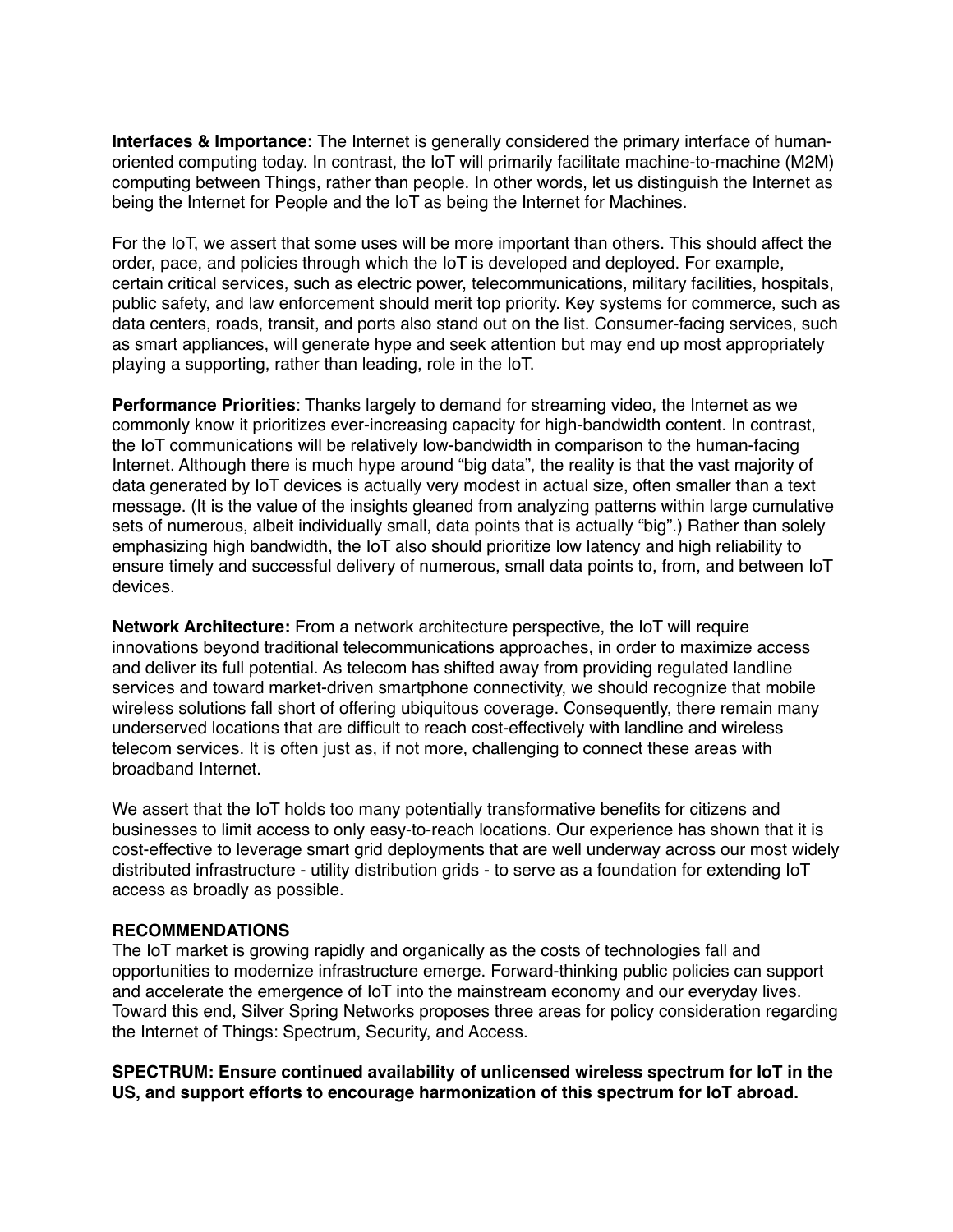**Interfaces & Importance:** The Internet is generally considered the primary interface of humanoriented computing today. In contrast, the IoT will primarily facilitate machine-to-machine (M2M) computing between Things, rather than people. In other words, let us distinguish the Internet as being the Internet for People and the IoT as being the Internet for Machines.

For the IoT, we assert that some uses will be more important than others. This should affect the order, pace, and policies through which the IoT is developed and deployed. For example, certain critical services, such as electric power, telecommunications, military facilities, hospitals, public safety, and law enforcement should merit top priority. Key systems for commerce, such as data centers, roads, transit, and ports also stand out on the list. Consumer-facing services, such as smart appliances, will generate hype and seek attention but may end up most appropriately playing a supporting, rather than leading, role in the IoT.

**Performance Priorities**: Thanks largely to demand for streaming video, the Internet as we commonly know it prioritizes ever-increasing capacity for high-bandwidth content. In contrast, the IoT communications will be relatively low-bandwidth in comparison to the human-facing Internet. Although there is much hype around "big data", the reality is that the vast majority of data generated by IoT devices is actually very modest in actual size, often smaller than a text message. (It is the value of the insights gleaned from analyzing patterns within large cumulative sets of numerous, albeit individually small, data points that is actually "big".) Rather than solely emphasizing high bandwidth, the IoT also should prioritize low latency and high reliability to ensure timely and successful delivery of numerous, small data points to, from, and between IoT devices.

**Network Architecture:** From a network architecture perspective, the IoT will require innovations beyond traditional telecommunications approaches, in order to maximize access and deliver its full potential. As telecom has shifted away from providing regulated landline services and toward market-driven smartphone connectivity, we should recognize that mobile wireless solutions fall short of offering ubiquitous coverage. Consequently, there remain many underserved locations that are difficult to reach cost-effectively with landline and wireless telecom services. It is often just as, if not more, challenging to connect these areas with broadband Internet.

We assert that the IoT holds too many potentially transformative benefits for citizens and businesses to limit access to only easy-to-reach locations. Our experience has shown that it is cost-effective to leverage smart grid deployments that are well underway across our most widely distributed infrastructure - utility distribution grids - to serve as a foundation for extending IoT access as broadly as possible.

## **RECOMMENDATIONS**

The IoT market is growing rapidly and organically as the costs of technologies fall and opportunities to modernize infrastructure emerge. Forward-thinking public policies can support and accelerate the emergence of IoT into the mainstream economy and our everyday lives. Toward this end, Silver Spring Networks proposes three areas for policy consideration regarding the Internet of Things: Spectrum, Security, and Access.

**SPECTRUM: Ensure continued availability of unlicensed wireless spectrum for IoT in the US, and support efforts to encourage harmonization of this spectrum for IoT abroad.**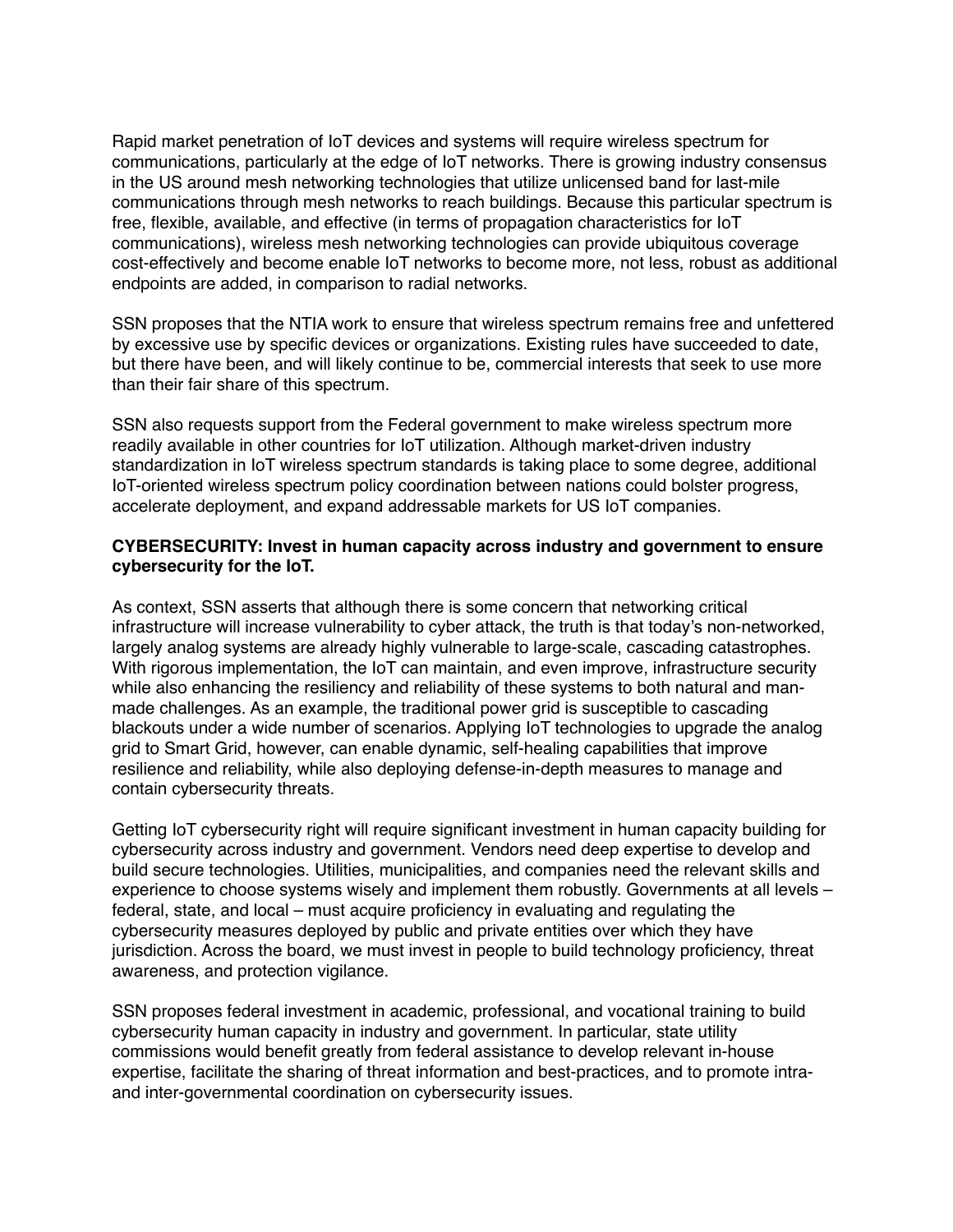Rapid market penetration of IoT devices and systems will require wireless spectrum for communications, particularly at the edge of IoT networks. There is growing industry consensus in the US around mesh networking technologies that utilize unlicensed band for last-mile communications through mesh networks to reach buildings. Because this particular spectrum is free, flexible, available, and effective (in terms of propagation characteristics for IoT communications), wireless mesh networking technologies can provide ubiquitous coverage cost-effectively and become enable IoT networks to become more, not less, robust as additional endpoints are added, in comparison to radial networks.

SSN proposes that the NTIA work to ensure that wireless spectrum remains free and unfettered by excessive use by specific devices or organizations. Existing rules have succeeded to date, but there have been, and will likely continue to be, commercial interests that seek to use more than their fair share of this spectrum.

SSN also requests support from the Federal government to make wireless spectrum more readily available in other countries for IoT utilization. Although market-driven industry standardization in IoT wireless spectrum standards is taking place to some degree, additional IoT-oriented wireless spectrum policy coordination between nations could bolster progress, accelerate deployment, and expand addressable markets for US IoT companies.

#### **CYBERSECURITY: Invest in human capacity across industry and government to ensure cybersecurity for the IoT.**

As context, SSN asserts that although there is some concern that networking critical infrastructure will increase vulnerability to cyber attack, the truth is that today's non-networked, largely analog systems are already highly vulnerable to large-scale, cascading catastrophes. With rigorous implementation, the IoT can maintain, and even improve, infrastructure security while also enhancing the resiliency and reliability of these systems to both natural and manmade challenges. As an example, the traditional power grid is susceptible to cascading blackouts under a wide number of scenarios. Applying IoT technologies to upgrade the analog grid to Smart Grid, however, can enable dynamic, self-healing capabilities that improve resilience and reliability, while also deploying defense-in-depth measures to manage and contain cybersecurity threats.

Getting IoT cybersecurity right will require significant investment in human capacity building for cybersecurity across industry and government. Vendors need deep expertise to develop and build secure technologies. Utilities, municipalities, and companies need the relevant skills and experience to choose systems wisely and implement them robustly. Governments at all levels – federal, state, and local – must acquire proficiency in evaluating and regulating the cybersecurity measures deployed by public and private entities over which they have jurisdiction. Across the board, we must invest in people to build technology proficiency, threat awareness, and protection vigilance.

SSN proposes federal investment in academic, professional, and vocational training to build cybersecurity human capacity in industry and government. In particular, state utility commissions would benefit greatly from federal assistance to develop relevant in-house expertise, facilitate the sharing of threat information and best-practices, and to promote intraand inter-governmental coordination on cybersecurity issues.